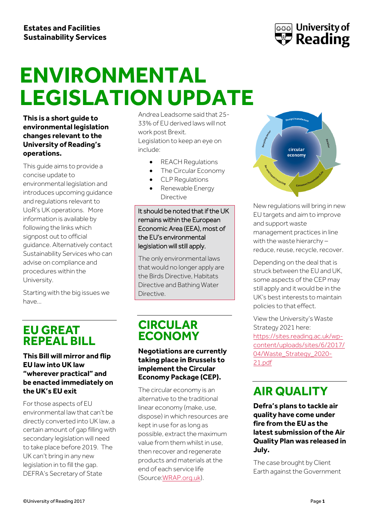

# ENVIRONMENTAL **LEGISLATION UPDATE**

**This is a short guide to environmental legislation changes relevant to the University of Reading's operations.**

This guide aims to provide a concise update to environmental legislation and introduces upcoming guidance and regulations relevant to UoR's UK operations. More information is available by following the links which signpost out to official guidance. Alternatively contact Sustainability Services who can advise on compliance and procedures within the University.

Starting with the big issues we have…

### **EU GREAT REPEAL BILL**

**This Bill will mirror and flip EU law into UK law "wherever practical" and be enacted immediately on the UK's EU exit** 

For those aspects of EU environmental law that can't be directly converted into UK law, a certain amount of gap filling with secondary legislation will need to take place before 2019. The UK can't bring in any new legislation in to fill the gap. DEFRA's Secretary of State

Andrea Leadsome said that 25- 33% of EU derived laws will not work post Brexit. Legislation to keep an eye on include:

- REACH Regulations
- The Circular Economy
- CLP Regulations
- Renewable Energy Directive

#### It should be noted that if the UK remains within the European Economic Area (EEA), most of the EU's environmental legislation will still apply.

The only environmental laws that would no longer apply are the Birds Directive, Habitats Directive and Bathing Water **Directive** 

### **CIRCULAR ECONOMY**

**Negotiations are currently taking place in Brussels to implement the Circular Economy Package (CEP).**

The circular economy is an alternative to the traditional linear economy (make, use, dispose) in which resources are kept in use for as long as possible, extract the maximum value from them whilst in use, then recover and regenerate products and materials at the end of each service life (Sourc[e:WRAP.org.uk\)](http://www.wrap.org.uk/content/wraps-vision-uk-circular-economy-2020).



New regulations will bring in new EU targets and aim to improve and support waste management practices in line with the waste hierarchy – reduce, reuse, recycle, recover.

Depending on the deal that is struck between the EU and UK, some aspects of the CEP may still apply and it would be in the UK's best interests to maintain policies to that effect.

View the University's Waste Strategy 2021 here: [https://sites.reading.ac.uk/wp](https://sites.reading.ac.uk/wp-content/uploads/sites/6/2017/04/Waste_Strategy_2020-21.pdf)[content/uploads/sites/6/2017/](https://sites.reading.ac.uk/wp-content/uploads/sites/6/2017/04/Waste_Strategy_2020-21.pdf) [04/Waste\\_Strategy\\_2020-](https://sites.reading.ac.uk/wp-content/uploads/sites/6/2017/04/Waste_Strategy_2020-21.pdf) [21.pdf](https://sites.reading.ac.uk/wp-content/uploads/sites/6/2017/04/Waste_Strategy_2020-21.pdf)

## **AIR QUALITY**

**Defra's plans to tackle air quality have come under fire from the EU as the latest submission of the Air Quality Plan was released in July.**

The case brought by Client Earth against the Government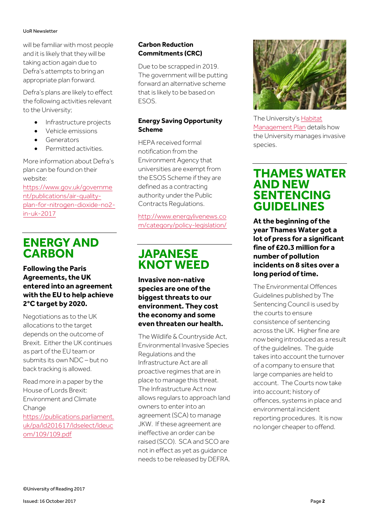#### UoR Newsletter

will be familiar with most people and it is likely that they will be taking action again due to Defra's attempts to bring an appropriate plan forward.

Defra's plans are likely to effect the following activities relevant to the University;

- Infrastructure projects
- Vehicle emissions
- Generators
- Permitted activities.

More information about Defra's plan can be found on their website:

[https://www.gov.uk/governme](https://www.gov.uk/government/publications/air-quality-plan-for-nitrogen-dioxide-no2-in-uk-2017) [nt/publications/air-quality](https://www.gov.uk/government/publications/air-quality-plan-for-nitrogen-dioxide-no2-in-uk-2017)[plan-for-nitrogen-dioxide-no2](https://www.gov.uk/government/publications/air-quality-plan-for-nitrogen-dioxide-no2-in-uk-2017) [in-uk-2017](https://www.gov.uk/government/publications/air-quality-plan-for-nitrogen-dioxide-no2-in-uk-2017)

### **ENERGY AND CARBON**

**Following the Paris Agreements, the UK entered into an agreement with the EU to help achieve 2°C target by 2020.** 

Negotiations as to the UK allocations to the target depends on the outcome of Brexit. Either the UK continues as part of the EU team or submits its own NDC – but no back tracking is allowed.

Read more in a paper by the House of Lords Brexit: Environment and Climate **Change** [https://publications.parliament.](https://publications.parliament.uk/pa/ld201617/ldselect/ldeucom/109/109.pdf) [uk/pa/ld201617/ldselect/ldeuc](https://publications.parliament.uk/pa/ld201617/ldselect/ldeucom/109/109.pdf) [om/109/109.pdf](https://publications.parliament.uk/pa/ld201617/ldselect/ldeucom/109/109.pdf)

Due to be scrapped in 2019. The government will be putting forward an alternative scheme that is likely to be based on ESOS.

#### **Energy Saving Opportunity Scheme**

HEPA received formal notification from the Environment Agency that universities are exempt from the ESOS Scheme if they are defined as a contracting authority under the Public Contracts Regulations.

[http://www.energylivenews.co](http://www.energylivenews.com/category/policy-legislation/) [m/category/policy-legislation/](http://www.energylivenews.com/category/policy-legislation/)

### **JAPANESE KNOT WEED**

**Invasive non-native species are one of the biggest threats to our environment. They cost the economy and some even threaten our health.**

The Wildlife & Countryside Act, Environmental Invasive Species Regulations and the Infrastructure Act are all proactive regimes that are in place to manage this threat. The Infrastructure Act now allows regulars to approach land owners to enter into an agreement (SCA) to manage JKW. If these agreement are ineffective an order can be raised (SCO). SCA and SCO are not in effect as yet as guidance needs to be released by DEFRA.



The University's [Habitat](http://www.reading.ac.uk/web/files/Grounds/Habitat_Managment_Plan.pdf)  [Management Plan](http://www.reading.ac.uk/web/files/Grounds/Habitat_Managment_Plan.pdf) details how the University manages invasive species.

#### **THAMES WATER AND NEW SENTENCING GUIDELINES**

**At the beginning of the year Thames Water got a lot of press for a significant fine of £20.3 million for a number of pollution incidents on 8 sites over a long period of time.** 

The Environmental Offences Guidelines published by The Sentencing Council is used by the courts to ensure consistence of sentencing across the UK. Higher fine are now being introduced as a result of the guidelines. The guide takes into account the turnover of a company to ensure that large companies are held to account. The Courts now take into account; history of offences, systems in place and environmental incident reporting procedures. It is now no longer cheaper to offend.